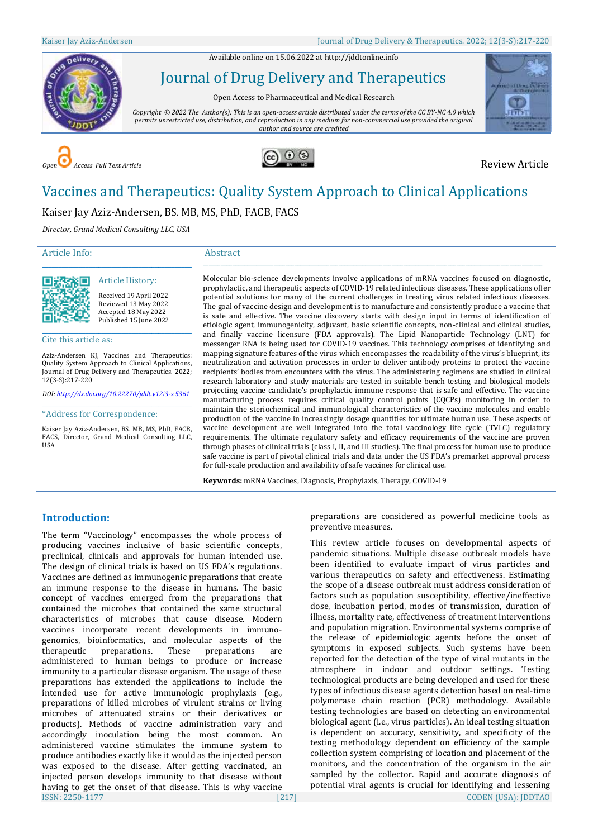Available online on 15.06.2022 a[t http://jddtonline.info](http://jddtonline.info/)



Journal of Drug Delivery and Therapeutics

Open Access to Pharmaceutical and Medical Research

*Copyright © 2022 The Author(s): This is an open-access article distributed under the terms of the CC BY-NC 4.0 which permits unrestricted use, distribution, and reproduction in any medium for non-commercial use provided the original author and source are credited*







# Vaccines and Therapeutics: Quality System Approach to Clinical Applications

Kaiser Jay Aziz-Andersen, BS. MB, MS, PhD, FACB, FACS

*Director, Grand Medical Consulting LLC, USA*

\_\_\_\_\_\_\_\_\_\_\_\_\_\_\_\_\_\_\_\_\_\_\_\_\_\_\_\_\_\_\_\_\_\_\_\_\_\_\_\_\_\_\_\_\_ Article History:

# Article Info:

### Abstract



Received 19 April 2022 Reviewed 13 May 2022 Accepted 18 May 2022 Published 15 June 2022

Cite this article as:

Aziz-Andersen KJ, Vaccines and Therapeutics: Quality System Approach to Clinical Applications, Journal of Drug Delivery and Therapeutics. 2022; 12(3-S):217-220

*DOI[: http://dx.doi.org/10.22270/jddt.v12i3-s.5361](http://dx.doi.org/10.22270/jddt.v12i3-s.5361)*  \_\_\_\_\_\_\_\_\_\_\_\_\_\_\_\_\_\_\_\_\_\_\_\_\_\_\_\_\_\_\_\_\_\_\_\_\_\_\_\_\_\_\_\_\_

\*Address for Correspondence:

Kaiser Jay Aziz-Andersen, BS. MB, MS, PhD, FACB, FACS, Director, Grand Medical Consulting LLC, **IISA** 

Molecular bio-science developments involve applications of mRNA vaccines focused on diagnostic, prophylactic, and therapeutic aspects of COVID-19 related infectious diseases. These applications offer potential solutions for many of the current challenges in treating virus related infectious diseases. The goal of vaccine design and development is to manufacture and consistently produce a vaccine that is safe and effective. The vaccine discovery starts with design input in terms of identification of etiologic agent, immunogenicity, adjuvant, basic scientific concepts, non-clinical and clinical studies, and finally vaccine licensure (FDA approvals). The Lipid Nanoparticle Technology (LNT) for messenger RNA is being used for COVID-19 vaccines. This technology comprises of identifying and mapping signature features of the virus which encompasses the readability of the virus's blueprint, its neutralization and activation processes in order to deliver antibody proteins to protect the vaccine recipients' bodies from encounters with the virus. The administering regimens are studied in clinical research laboratory and study materials are tested in suitable bench testing and biological models projecting vaccine candidate's prophylactic immune response that is safe and effective. The vaccine manufacturing process requires critical quality control points (CQCPs) monitoring in order to maintain the steriochemical and immunological characteristics of the vaccine molecules and enable production of the vaccine in increasingly dosage quantities for ultimate human use. These aspects of vaccine development are well integrated into the total vaccinology life cycle (TVLC) regulatory requirements. The ultimate regulatory safety and efficacy requirements of the vaccine are proven through phases of clinical trials (class I, II, and III studies). The final process for human use to produce safe vaccine is part of pivotal clinical trials and data under the US FDA's premarket approval process for full-scale production and availability of safe vaccines for clinical use.

\_\_\_\_\_\_\_\_\_\_\_\_\_\_\_\_\_\_\_\_\_\_\_\_\_\_\_\_\_\_\_\_\_\_\_\_\_\_\_\_\_\_\_\_\_\_\_\_\_\_\_\_\_\_\_\_\_\_\_\_\_\_\_\_\_\_\_\_\_\_\_\_\_\_\_\_\_\_\_\_\_\_\_\_\_\_\_\_\_\_\_\_\_\_\_\_\_\_\_\_\_\_\_\_\_\_\_\_\_\_\_\_\_\_\_

**Keywords:** mRNA Vaccines, Diagnosis, Prophylaxis, Therapy, COVID-19

# **Introduction:**

ISSN: 2250-1177 [217] CODEN (USA): JDDTAO The term "Vaccinology" encompasses the whole process of producing vaccines inclusive of basic scientific concepts, preclinical, clinicals and approvals for human intended use. The design of clinical trials is based on US FDA's regulations. Vaccines are defined as immunogenic preparations that create an immune response to the disease in humans. The basic concept of vaccines emerged from the preparations that contained the microbes that contained the same structural characteristics of microbes that cause disease. Modern vaccines incorporate recent developments in immunogenomics, bioinformatics, and molecular aspects of the therapeutic preparations. These preparations are administered to human beings to produce or increase immunity to a particular disease organism. The usage of these preparations has extended the applications to include the intended use for active immunologic prophylaxis (e.g., preparations of killed microbes of virulent strains or living microbes of attenuated strains or their derivatives or products). Methods of vaccine administration vary and accordingly inoculation being the most common. An administered vaccine stimulates the immune system to produce antibodies exactly like it would as the injected person was exposed to the disease. After getting vaccinated, an injected person develops immunity to that disease without having to get the onset of that disease. This is why vaccine

preparations are considered as powerful medicine tools as preventive measures.

This review article focuses on developmental aspects of pandemic situations. Multiple disease outbreak models have been identified to evaluate impact of virus particles and various therapeutics on safety and effectiveness. Estimating the scope of a disease outbreak must address consideration of factors such as population susceptibility, effective/ineffective dose, incubation period, modes of transmission, duration of illness, mortality rate, effectiveness of treatment interventions and population migration. Environmental systems comprise of the release of epidemiologic agents before the onset of symptoms in exposed subjects. Such systems have been reported for the detection of the type of viral mutants in the atmosphere in indoor and outdoor settings. Testing technological products are being developed and used for these types of infectious disease agents detection based on real-time polymerase chain reaction (PCR) methodology. Available testing technologies are based on detecting an environmental biological agent (i.e., virus particles). An ideal testing situation is dependent on accuracy, sensitivity, and specificity of the testing methodology dependent on efficiency of the sample collection system comprising of location and placement of the monitors, and the concentration of the organism in the air sampled by the collector. Rapid and accurate diagnosis of potential viral agents is crucial for identifying and lessening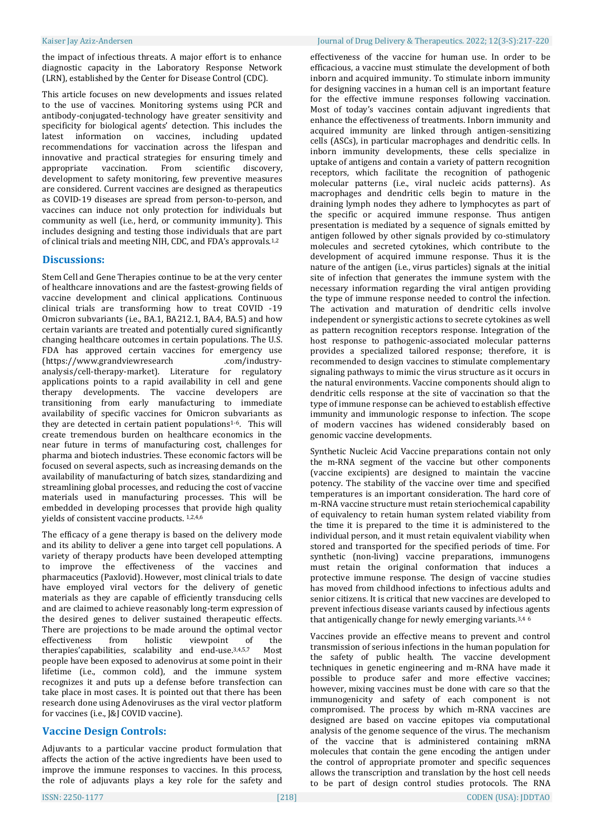the impact of infectious threats. A major effort is to enhance diagnostic capacity in the Laboratory Response Network (LRN), established by the Center for Disease Control (CDC).

This article focuses on new developments and issues related to the use of vaccines. Monitoring systems using PCR and antibody-conjugated-technology have greater sensitivity and specificity for biological agents' detection. This includes the latest information on vaccines, including updated recommendations for vaccination across the lifespan and innovative and practical strategies for ensuring timely and appropriate vaccination. From scientific discovery, development to safety monitoring, few preventive measures are considered. Current vaccines are designed as therapeutics as COVID-19 diseases are spread from person-to-person, and vaccines can induce not only protection for individuals but community as well (i.e., herd, or community immunity). This includes designing and testing those individuals that are part of clinical trials and meeting NIH, CDC, and FDA's approvals.1,2

# **Discussions:**

Stem Cell and Gene Therapies continue to be at the very center of healthcare innovations and are the fastest-growing fields of vaccine development and clinical applications. Continuous clinical trials are transforming how to treat COVID -19 Omicron subvariants (i.e., BA.1, BA212.1, BA.4, BA.5) and how certain variants are treated and potentially cured significantly changing healthcare outcomes in certain populations. The U.S. FDA has approved certain vaccines for emergency use (https://www.grandviewresearch .com/industryanalysis/cell-therapy-market). Literature for regulatory applications points to a rapid availability in cell and gene therapy developments. The vaccine developers are transitioning from early manufacturing to immediate availability of specific vaccines for Omicron subvariants as they are detected in certain patient populations1-6. This will create tremendous burden on healthcare economics in the near future in terms of manufacturing cost, challenges for pharma and biotech industries. These economic factors will be focused on several aspects, such as increasing demands on the availability of manufacturing of batch sizes, standardizing and streamlining global processes, and reducing the cost of vaccine materials used in manufacturing processes. This will be embedded in developing processes that provide high quality yields of consistent vaccine products. 1,2,4,6

The efficacy of a gene therapy is based on the delivery mode and its ability to deliver a gene into target cell populations. A variety of therapy products have been developed attempting to improve the effectiveness of the vaccines and pharmaceutics (Paxlovid). However, most clinical trials to date have employed viral vectors for the delivery of genetic materials as they are capable of efficiently transducing cells and are claimed to achieve reasonably long-term expression of the desired genes to deliver sustained therapeutic effects. There are projections to be made around the optimal vector effectiveness from holistic viewpoint of the therapies'capabilities, scalability and end-use.3,4,5,7 Most people have been exposed to adenovirus at some point in their lifetime (i.e., common cold), and the immune system recognizes it and puts up a defense before transfection can take place in most cases. It is pointed out that there has been research done using Adenoviruses as the viral vector platform for vaccines (i.e., J&J COVID vaccine).

# **Vaccine Design Controls:**

Adjuvants to a particular vaccine product formulation that affects the action of the active ingredients have been used to improve the immune responses to vaccines. In this process, the role of adjuvants plays a key role for the safety and

#### Kaiser Jay Aziz-Andersen Journal of Drug Delivery & Therapeutics. 2022; 12(3-S):217-220

effectiveness of the vaccine for human use. In order to be efficacious, a vaccine must stimulate the development of both inborn and acquired immunity. To stimulate inborn immunity for designing vaccines in a human cell is an important feature for the effective immune responses following vaccination. Most of today's vaccines contain adjuvant ingredients that enhance the effectiveness of treatments. Inborn immunity and acquired immunity are linked through antigen-sensitizing cells (ASCs), in particular macrophages and dendritic cells. In inborn immunity developments, these cells specialize in uptake of antigens and contain a variety of pattern recognition receptors, which facilitate the recognition of pathogenic molecular patterns (i.e., viral nucleic acids patterns). As macrophages and dendritic cells begin to mature in the draining lymph nodes they adhere to lymphocytes as part of the specific or acquired immune response. Thus antigen presentation is mediated by a sequence of signals emitted by antigen followed by other signals provided by co-stimulatory molecules and secreted cytokines, which contribute to the development of acquired immune response. Thus it is the nature of the antigen (i.e., virus particles) signals at the initial site of infection that generates the immune system with the necessary information regarding the viral antigen providing the type of immune response needed to control the infection. The activation and maturation of dendritic cells involve independent or synergistic actions to secrete cytokines as well as pattern recognition receptors response. Integration of the host response to pathogenic-associated molecular patterns provides a specialized tailored response; therefore, it is recommended to design vaccines to stimulate complementary signaling pathways to mimic the virus structure as it occurs in the natural environments. Vaccine components should align to dendritic cells response at the site of vaccination so that the type of immune response can be achieved to establish effective immunity and immunologic response to infection. The scope of modern vaccines has widened considerably based on genomic vaccine developments.

Synthetic Nucleic Acid Vaccine preparations contain not only the m-RNA segment of the vaccine but other components (vaccine excipients) are designed to maintain the vaccine potency. The stability of the vaccine over time and specified temperatures is an important consideration. The hard core of m-RNA vaccine structure must retain steriochemical capability of equivalency to retain human system related viability from the time it is prepared to the time it is administered to the individual person, and it must retain equivalent viability when stored and transported for the specified periods of time. For synthetic (non-living) vaccine preparations, immunogens must retain the original conformation that induces a protective immune response. The design of vaccine studies has moved from childhood infections to infectious adults and senior citizens. It is critical that new vaccines are developed to prevent infectious disease variants caused by infectious agents that antigenically change for newly emerging variants.3,4 <sup>6</sup>

Vaccines provide an effective means to prevent and control transmission of serious infections in the human population for the safety of public health. The vaccine development techniques in genetic engineering and m-RNA have made it possible to produce safer and more effective vaccines; however, mixing vaccines must be done with care so that the immunogenicity and safety of each component is not compromised. The process by which m-RNA vaccines are designed are based on vaccine epitopes via computational analysis of the genome sequence of the virus. The mechanism of the vaccine that is administered containing mRNA molecules that contain the gene encoding the antigen under the control of appropriate promoter and specific sequences allows the transcription and translation by the host cell needs to be part of design control studies protocols. The RNA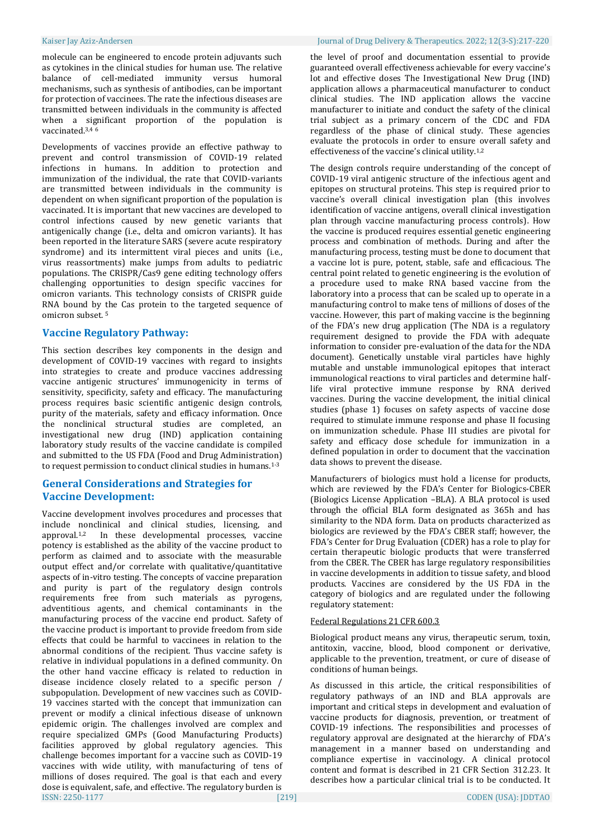molecule can be engineered to encode protein adjuvants such as cytokines in the clinical studies for human use. The relative balance of cell-mediated immunity versus humoral mechanisms, such as synthesis of antibodies, can be important for protection of vaccinees. The rate the infectious diseases are transmitted between individuals in the community is affected when a significant proportion of the population is vaccinated.3,4 <sup>6</sup>

Developments of vaccines provide an effective pathway to prevent and control transmission of COVID-19 related infections in humans. In addition to protection and immunization of the individual, the rate that COVID-variants are transmitted between individuals in the community is dependent on when significant proportion of the population is vaccinated. It is important that new vaccines are developed to control infections caused by new genetic variants that antigenically change (i.e., delta and omicron variants). It has been reported in the literature SARS (severe acute respiratory syndrome) and its intermittent viral pieces and units (i.e., virus reassortments) make jumps from adults to pediatric populations. The CRISPR/Cas9 gene editing technology offers challenging opportunities to design specific vaccines for omicron variants. This technology consists of CRISPR guide RNA bound by the Cas protein to the targeted sequence of omicron subset. <sup>5</sup>

# **Vaccine Regulatory Pathway:**

This section describes key components in the design and development of COVID-19 vaccines with regard to insights into strategies to create and produce vaccines addressing vaccine antigenic structures' immunogenicity in terms of sensitivity, specificity, safety and efficacy. The manufacturing process requires basic scientific antigenic design controls, purity of the materials, safety and efficacy information. Once the nonclinical structural studies are completed, an investigational new drug (IND) application containing laboratory study results of the vaccine candidate is compiled and submitted to the US FDA (Food and Drug Administration) to request permission to conduct clinical studies in humans.<sup>1-3</sup>

# **General Considerations and Strategies for Vaccine Development:**

ISSN: 2250-1177 [219] CODEN (USA): JDDTAO Vaccine development involves procedures and processes that include nonclinical and clinical studies, licensing, and approval.1,2 In these developmental processes, vaccine potency is established as the ability of the vaccine product to perform as claimed and to associate with the measurable output effect and/or correlate with qualitative/quantitative aspects of in-vitro testing. The concepts of vaccine preparation and purity is part of the regulatory design controls requirements free from such materials as pyrogens, adventitious agents, and chemical contaminants in the manufacturing process of the vaccine end product. Safety of the vaccine product is important to provide freedom from side effects that could be harmful to vaccinees in relation to the abnormal conditions of the recipient. Thus vaccine safety is relative in individual populations in a defined community. On the other hand vaccine efficacy is related to reduction in disease incidence closely related to a specific person / subpopulation. Development of new vaccines such as COVID-19 vaccines started with the concept that immunization can prevent or modify a clinical infectious disease of unknown epidemic origin. The challenges involved are complex and require specialized GMPs (Good Manufacturing Products) facilities approved by global regulatory agencies. This challenge becomes important for a vaccine such as COVID-19 vaccines with wide utility, with manufacturing of tens of millions of doses required. The goal is that each and every dose is equivalent, safe, and effective. The regulatory burden is

#### Kaiser Jay Aziz-Andersen Journal of Drug Delivery & Therapeutics. 2022; 12(3-S):217-220

the level of proof and documentation essential to provide guaranteed overall effectiveness achievable for every vaccine's lot and effective doses The Investigational New Drug (IND) application allows a pharmaceutical manufacturer to conduct clinical studies. The IND application allows the vaccine manufacturer to initiate and conduct the safety of the clinical trial subject as a primary concern of the CDC and FDA regardless of the phase of clinical study. These agencies evaluate the protocols in order to ensure overall safety and effectiveness of the vaccine's clinical utility.1,2

The design controls require understanding of the concept of COVID-19 viral antigenic structure of the infectious agent and epitopes on structural proteins. This step is required prior to vaccine's overall clinical investigation plan (this involves identification of vaccine antigens, overall clinical investigation plan through vaccine manufacturing process controls). How the vaccine is produced requires essential genetic engineering process and combination of methods. During and after the manufacturing process, testing must be done to document that a vaccine lot is pure, potent, stable, safe and efficacious. The central point related to genetic engineering is the evolution of a procedure used to make RNA based vaccine from the laboratory into a process that can be scaled up to operate in a manufacturing control to make tens of millions of doses of the vaccine. However, this part of making vaccine is the beginning of the FDA's new drug application (The NDA is a regulatory requirement designed to provide the FDA with adequate information to consider pre-evaluation of the data for the NDA document). Genetically unstable viral particles have highly mutable and unstable immunological epitopes that interact immunological reactions to viral particles and determine halflife viral protective immune response by RNA derived vaccines. During the vaccine development, the initial clinical studies (phase 1) focuses on safety aspects of vaccine dose required to stimulate immune response and phase II focusing on immunization schedule. Phase III studies are pivotal for safety and efficacy dose schedule for immunization in a defined population in order to document that the vaccination data shows to prevent the disease.

Manufacturers of biologics must hold a license for products, which are reviewed by the FDA's Center for Biologics-CBER (Biologics License Application –BLA). A BLA protocol is used through the official BLA form designated as 365h and has similarity to the NDA form. Data on products characterized as biologics are reviewed by the FDA's CBER staff; however, the FDA's Center for Drug Evaluation (CDER) has a role to play for certain therapeutic biologic products that were transferred from the CBER. The CBER has large regulatory responsibilities in vaccine developments in addition to tissue safety, and blood products. Vaccines are considered by the US FDA in the category of biologics and are regulated under the following regulatory statement:

# Federal Regulations 21 CFR 600.3

Biological product means any virus, therapeutic serum, toxin, antitoxin, vaccine, blood, blood component or derivative, applicable to the prevention, treatment, or cure of disease of conditions of human beings.

As discussed in this article, the critical responsibilities of regulatory pathways of an IND and BLA approvals are important and critical steps in development and evaluation of vaccine products for diagnosis, prevention, or treatment of COVID-19 infections. The responsibilities and processes of regulatory approval are designated at the hierarchy of FDA's management in a manner based on understanding and compliance expertise in vaccinology. A clinical protocol content and format is described in 21 CFR Section 312.23. It describes how a particular clinical trial is to be conducted. It